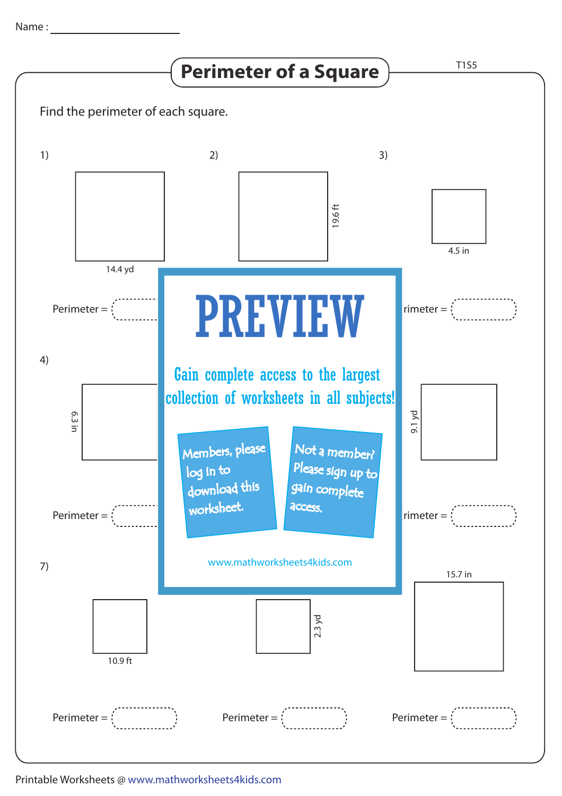